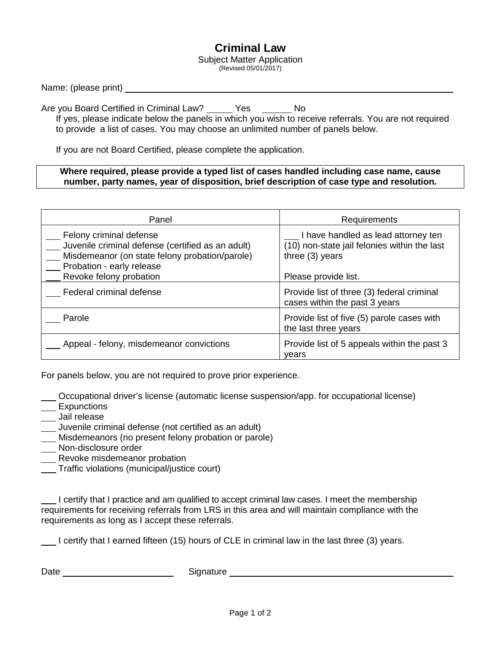## **Criminal Law**

Subject Matter Application (Revised 05/01/2017)

Are you Board Certified in Criminal Law? Yes No If yes, please indicate below the panels in which you wish to receive referrals. You are not required to provide a list of cases. You may choose an unlimited number of panels below.

If you are not Board Certified, please complete the application.

## **Where required, please provide a typed list of cases handled including case name, cause number, party names, year of disposition, brief description of case type and resolution.**

| Panel                                                                                                                                                       | Requirements                                                                                           |
|-------------------------------------------------------------------------------------------------------------------------------------------------------------|--------------------------------------------------------------------------------------------------------|
| Felony criminal defense<br>Juvenile criminal defense (certified as an adult)<br>Misdemeanor (on state felony probation/parole)<br>Probation - early release | I have handled as lead attorney ten<br>(10) non-state jail felonies within the last<br>three (3) years |
| Revoke felony probation                                                                                                                                     | Please provide list.                                                                                   |
| Federal criminal defense                                                                                                                                    | Provide list of three (3) federal criminal<br>cases within the past 3 years                            |
| Parole                                                                                                                                                      | Provide list of five (5) parole cases with<br>the last three years                                     |
| Appeal - felony, misdemeanor convictions                                                                                                                    | Provide list of 5 appeals within the past 3<br>vears                                                   |

For panels below, you are not required to prove prior experience.

Occupational driver's license (automatic license suspension/app. for occupational license)

- \_\_\_ Expunctions
- Jail release
- Juvenile criminal defense (not certified as an adult)
- Misdemeanors (no present felony probation or parole)
- **Non-disclosure order**
- **Revoke misdemeanor probation**
- Traffic violations (municipal/justice court)

I certify that I practice and am qualified to accept criminal law cases. I meet the membership requirements for receiving referrals from LRS in this area and will maintain compliance with the requirements as long as I accept these referrals.

I certify that I earned fifteen (15) hours of CLE in criminal law in the last three (3) years.

Date **Signature** Signature Signature Signature Signature Signature Signature Signature Signature Signature Signature Signature Signature Signature Signature Signature Signature Signature Signature Signature Signature Signa